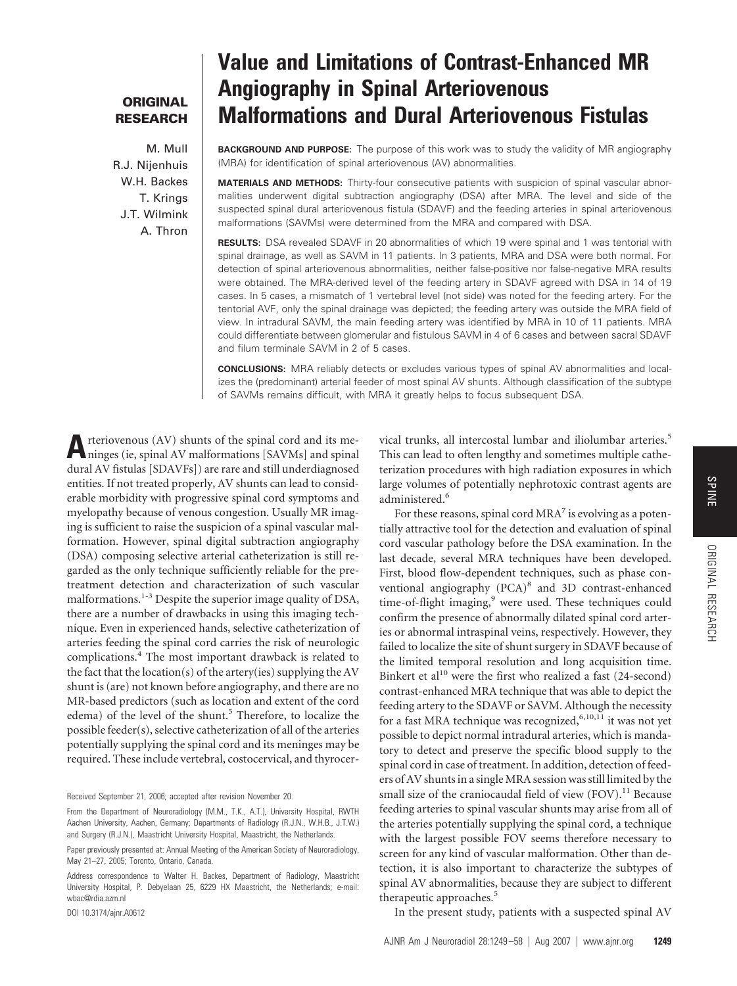## **ORIGINAL RESEARCH**

M. Mull R.J. Nijenhuis W.H. Backes T. Krings J.T. Wilmink A. Thron

# **Value and Limitations of Contrast-Enhanced MR Angiography in Spinal Arteriovenous Malformations and Dural Arteriovenous Fistulas**

**BACKGROUND AND PURPOSE:** The purpose of this work was to study the validity of MR angiography (MRA) for identification of spinal arteriovenous (AV) abnormalities.

**MATERIALS AND METHODS:** Thirty-four consecutive patients with suspicion of spinal vascular abnormalities underwent digital subtraction angiography (DSA) after MRA. The level and side of the suspected spinal dural arteriovenous fistula (SDAVF) and the feeding arteries in spinal arteriovenous malformations (SAVMs) were determined from the MRA and compared with DSA.

**RESULTS:** DSA revealed SDAVF in 20 abnormalities of which 19 were spinal and 1 was tentorial with spinal drainage, as well as SAVM in 11 patients. In 3 patients, MRA and DSA were both normal. For detection of spinal arteriovenous abnormalities, neither false-positive nor false-negative MRA results were obtained. The MRA-derived level of the feeding artery in SDAVF agreed with DSA in 14 of 19 cases. In 5 cases, a mismatch of 1 vertebral level (not side) was noted for the feeding artery. For the tentorial AVF, only the spinal drainage was depicted; the feeding artery was outside the MRA field of view. In intradural SAVM, the main feeding artery was identified by MRA in 10 of 11 patients. MRA could differentiate between glomerular and fistulous SAVM in 4 of 6 cases and between sacral SDAVF and filum terminale SAVM in 2 of 5 cases.

**CONCLUSIONS:** MRA reliably detects or excludes various types of spinal AV abnormalities and localizes the (predominant) arterial feeder of most spinal AV shunts. Although classification of the subtype of SAVMs remains difficult, with MRA it greatly helps to focus subsequent DSA.

**A**rteriovenous (AV) shunts of the spinal cord and its meninges (ie, spinal AV malformations [SAVMs] and spinal dural AV fistulas [SDAVFs]) are rare and still underdiagnosed entities. If not treated properly, AV shunts can lead to considerable morbidity with progressive spinal cord symptoms and myelopathy because of venous congestion. Usually MR imaging is sufficient to raise the suspicion of a spinal vascular malformation. However, spinal digital subtraction angiography (DSA) composing selective arterial catheterization is still regarded as the only technique sufficiently reliable for the pretreatment detection and characterization of such vascular malformations.<sup>1-3</sup> Despite the superior image quality of DSA, there are a number of drawbacks in using this imaging technique. Even in experienced hands, selective catheterization of arteries feeding the spinal cord carries the risk of neurologic complications.4 The most important drawback is related to the fact that the location(s) of the artery(ies) supplying the AV shunt is (are) not known before angiography, and there are no MR-based predictors (such as location and extent of the cord edema) of the level of the shunt.<sup>5</sup> Therefore, to localize the possible feeder(s), selective catheterization of all of the arteries potentially supplying the spinal cord and its meninges may be required. These include vertebral, costocervical, and thyrocer-

Received September 21, 2006; accepted after revision November 20.

From the Department of Neuroradiology (M.M., T.K., A.T.), University Hospital, RWTH Aachen University, Aachen, Germany; Departments of Radiology (R.J.N., W.H.B., J.T.W.) and Surgery (R.J.N.), Maastricht University Hospital, Maastricht, the Netherlands.

Paper previously presented at: Annual Meeting of the American Society of Neuroradiology, May 21–27, 2005; Toronto, Ontario, Canada.

Address correspondence to Walter H. Backes, Department of Radiology, Maastricht University Hospital, P. Debyelaan 25, 6229 HX Maastricht, the Netherlands; e-mail: wbac@rdia.azm.nl

DOI 10.3174/ajnr.A0612

vical trunks, all intercostal lumbar and iliolumbar arteries.<sup>5</sup> This can lead to often lengthy and sometimes multiple catheterization procedures with high radiation exposures in which large volumes of potentially nephrotoxic contrast agents are administered.<sup>6</sup>

For these reasons, spinal cord  $MRA<sup>7</sup>$  is evolving as a potentially attractive tool for the detection and evaluation of spinal cord vascular pathology before the DSA examination. In the last decade, several MRA techniques have been developed. First, blood flow-dependent techniques, such as phase conventional angiography (PCA)<sup>8</sup> and 3D contrast-enhanced time-of-flight imaging,<sup>9</sup> were used. These techniques could confirm the presence of abnormally dilated spinal cord arteries or abnormal intraspinal veins, respectively. However, they failed to localize the site of shunt surgery in SDAVF because of the limited temporal resolution and long acquisition time. Binkert et al<sup>10</sup> were the first who realized a fast  $(24$ -second) contrast-enhanced MRA technique that was able to depict the feeding artery to the SDAVF or SAVM. Although the necessity for a fast MRA technique was recognized,  $6,10,11$  it was not yet possible to depict normal intradural arteries, which is mandatory to detect and preserve the specific blood supply to the spinal cord in case of treatment. In addition, detection of feeders of AV shunts in a single MRA session was still limited by the small size of the craniocaudal field of view (FOV).<sup>11</sup> Because feeding arteries to spinal vascular shunts may arise from all of the arteries potentially supplying the spinal cord, a technique with the largest possible FOV seems therefore necessary to screen for any kind of vascular malformation. Other than detection, it is also important to characterize the subtypes of spinal AV abnormalities, because they are subject to different therapeutic approaches.<sup>5</sup>

SPINE

In the present study, patients with a suspected spinal AV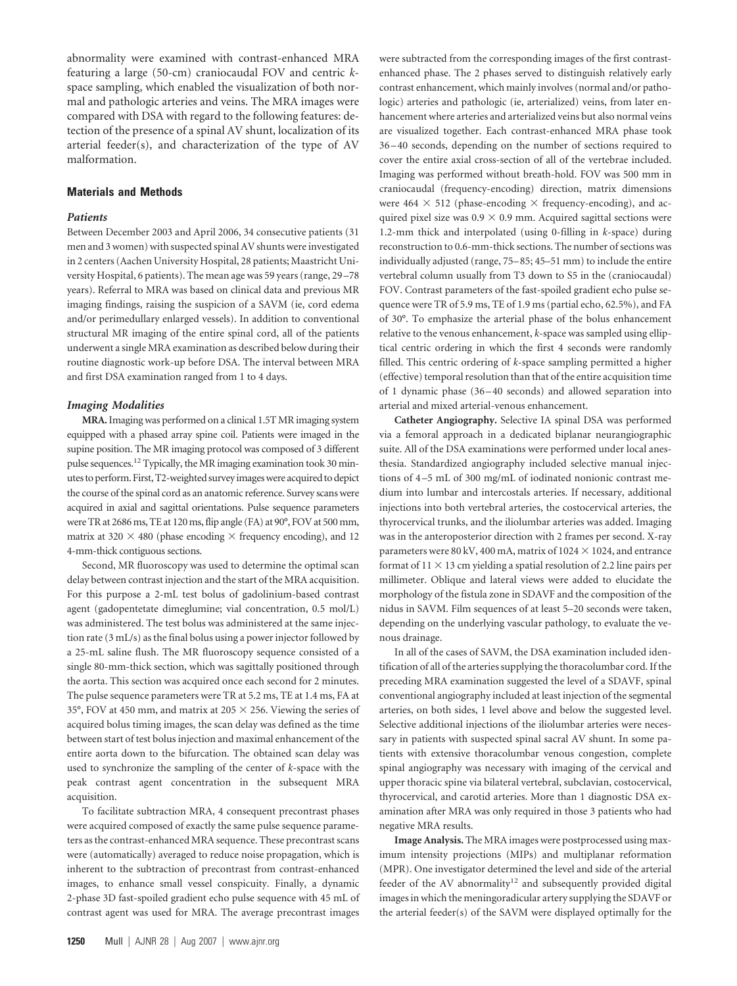abnormality were examined with contrast-enhanced MRA featuring a large (50-cm) craniocaudal FOV and centric *k*space sampling, which enabled the visualization of both normal and pathologic arteries and veins. The MRA images were compared with DSA with regard to the following features: detection of the presence of a spinal AV shunt, localization of its arterial feeder(s), and characterization of the type of AV malformation.

## **Materials and Methods**

#### *Patients*

Between December 2003 and April 2006, 34 consecutive patients (31 men and 3 women) with suspected spinal AV shunts were investigated in 2 centers (Aachen University Hospital, 28 patients; Maastricht University Hospital, 6 patients). The mean age was 59 years (range, 29 –78 years). Referral to MRA was based on clinical data and previous MR imaging findings, raising the suspicion of a SAVM (ie, cord edema and/or perimedullary enlarged vessels). In addition to conventional structural MR imaging of the entire spinal cord, all of the patients underwent a single MRA examination as described below during their routine diagnostic work-up before DSA. The interval between MRA and first DSA examination ranged from 1 to 4 days.

## *Imaging Modalities*

**MRA.**Imaging was performed on a clinical 1.5T MR imaging system equipped with a phased array spine coil. Patients were imaged in the supine position. The MR imaging protocol was composed of 3 different pulse sequences.12 Typically, the MR imaging examination took 30 minutes to perform. First,T2-weighted surveyimageswere acquired to depict the course of the spinal cord as an anatomic reference. Survey scans were acquired in axial and sagittal orientations. Pulse sequence parameters were TR at 2686 ms, TE at 120 ms,flip angle (FA) at 90°, FOV at 500 mm, matrix at 320  $\times$  480 (phase encoding  $\times$  frequency encoding), and 12 4-mm-thick contiguous sections.

Second, MR fluoroscopy was used to determine the optimal scan delay between contrast injection and the start of the MRA acquisition. For this purpose a 2-mL test bolus of gadolinium-based contrast agent (gadopentetate dimeglumine; vial concentration, 0.5 mol/L) was administered. The test bolus was administered at the same injection rate (3 mL/s) as the final bolus using a power injector followed by a 25-mL saline flush. The MR fluoroscopy sequence consisted of a single 80-mm-thick section, which was sagittally positioned through the aorta. This section was acquired once each second for 2 minutes. The pulse sequence parameters were TR at 5.2 ms, TE at 1.4 ms, FA at 35°, FOV at 450 mm, and matrix at 205  $\times$  256. Viewing the series of acquired bolus timing images, the scan delay was defined as the time between start of test bolus injection and maximal enhancement of the entire aorta down to the bifurcation. The obtained scan delay was used to synchronize the sampling of the center of *k*-space with the peak contrast agent concentration in the subsequent MRA acquisition.

To facilitate subtraction MRA, 4 consequent precontrast phases were acquired composed of exactly the same pulse sequence parameters as the contrast-enhanced MRA sequence. These precontrast scans were (automatically) averaged to reduce noise propagation, which is inherent to the subtraction of precontrast from contrast-enhanced images, to enhance small vessel conspicuity. Finally, a dynamic 2-phase 3D fast-spoiled gradient echo pulse sequence with 45 mL of contrast agent was used for MRA. The average precontrast images were subtracted from the corresponding images of the first contrastenhanced phase. The 2 phases served to distinguish relatively early contrast enhancement, which mainly involves (normal and/or pathologic) arteries and pathologic (ie, arterialized) veins, from later enhancement where arteries and arterialized veins but also normal veins are visualized together. Each contrast-enhanced MRA phase took 36 – 40 seconds, depending on the number of sections required to cover the entire axial cross-section of all of the vertebrae included. Imaging was performed without breath-hold. FOV was 500 mm in craniocaudal (frequency-encoding) direction, matrix dimensions were  $464 \times 512$  (phase-encoding  $\times$  frequency-encoding), and acquired pixel size was  $0.9 \times 0.9$  mm. Acquired sagittal sections were 1.2-mm thick and interpolated (using 0-filling in *k*-space) during reconstruction to 0.6-mm-thick sections. The number of sections was individually adjusted (range, 75– 85; 45–51 mm) to include the entire vertebral column usually from T3 down to S5 in the (craniocaudal) FOV. Contrast parameters of the fast-spoiled gradient echo pulse sequence were TR of 5.9 ms, TE of 1.9 ms (partial echo, 62.5%), and FA of 30°. To emphasize the arterial phase of the bolus enhancement relative to the venous enhancement, *k*-space was sampled using elliptical centric ordering in which the first 4 seconds were randomly filled. This centric ordering of *k*-space sampling permitted a higher (effective) temporal resolution than that of the entire acquisition time of 1 dynamic phase (36 – 40 seconds) and allowed separation into arterial and mixed arterial-venous enhancement.

**Catheter Angiography.** Selective IA spinal DSA was performed via a femoral approach in a dedicated biplanar neurangiographic suite. All of the DSA examinations were performed under local anesthesia. Standardized angiography included selective manual injections of 4 –5 mL of 300 mg/mL of iodinated nonionic contrast medium into lumbar and intercostals arteries. If necessary, additional injections into both vertebral arteries, the costocervical arteries, the thyrocervical trunks, and the iliolumbar arteries was added. Imaging was in the anteroposterior direction with 2 frames per second. X-ray parameters were 80 kV, 400 mA, matrix of  $1024 \times 1024$ , and entrance format of  $11 \times 13$  cm yielding a spatial resolution of 2.2 line pairs per millimeter. Oblique and lateral views were added to elucidate the morphology of the fistula zone in SDAVF and the composition of the nidus in SAVM. Film sequences of at least 5–20 seconds were taken, depending on the underlying vascular pathology, to evaluate the venous drainage.

In all of the cases of SAVM, the DSA examination included identification of all of the arteries supplying the thoracolumbar cord. If the preceding MRA examination suggested the level of a SDAVF, spinal conventional angiography included at least injection of the segmental arteries, on both sides, 1 level above and below the suggested level. Selective additional injections of the iliolumbar arteries were necessary in patients with suspected spinal sacral AV shunt. In some patients with extensive thoracolumbar venous congestion, complete spinal angiography was necessary with imaging of the cervical and upper thoracic spine via bilateral vertebral, subclavian, costocervical, thyrocervical, and carotid arteries. More than 1 diagnostic DSA examination after MRA was only required in those 3 patients who had negative MRA results.

**Image Analysis.** The MRA images were postprocessed using maximum intensity projections (MIPs) and multiplanar reformation (MPR). One investigator determined the level and side of the arterial feeder of the AV abnormality<sup>12</sup> and subsequently provided digital images in which the meningoradicular artery supplying the SDAVF or the arterial feeder(s) of the SAVM were displayed optimally for the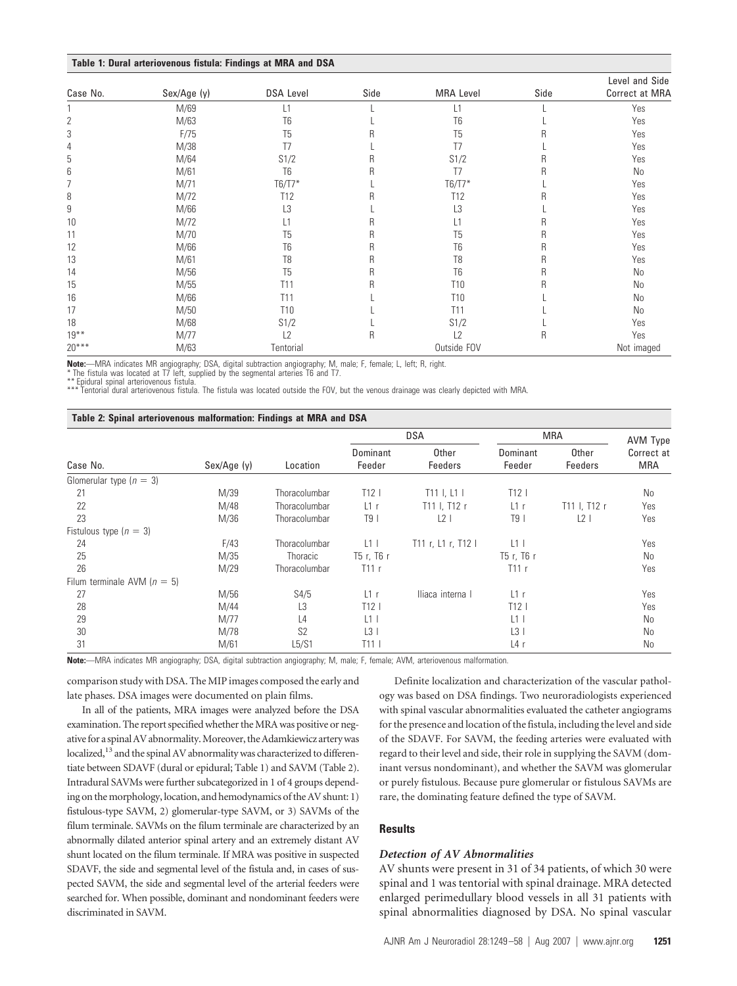#### **Table 1: Dural arteriovenous fistula: Findings at MRA and DSA**

|          |             |                  |      |                  |      | Level and Side |
|----------|-------------|------------------|------|------------------|------|----------------|
| Case No. | Sex/Age (y) | <b>DSA Level</b> | Side | <b>MRA Level</b> | Side | Correct at MRA |
|          | M/69        | L1               |      |                  |      | Yes            |
| 2        | M/63        | T <sub>6</sub>   |      | T <sub>6</sub>   |      | Yes            |
| 3        | F/75        | T <sub>5</sub>   | R    | T <sub>5</sub>   | R    | Yes            |
| 4        | M/38        | T7               |      | T <sub>7</sub>   |      | Yes            |
| 5        | M/64        | S1/2             | R    | S1/2             | R    | Yes            |
| 6        | M/61        | T <sub>6</sub>   | R    | T <sub>7</sub>   | R    | <b>No</b>      |
|          | M/71        | T6/T7*           |      | $T6/T7*$         |      | Yes            |
| 8        | M/72        | T <sub>12</sub>  | R    | T12              | R    | Yes            |
| 9        | M/66        | L3               |      | L3               |      | Yes            |
| 10       | M/72        | L1               | R    | L1               | R    | Yes            |
| 11       | M/70        | T5               | R    | T <sub>5</sub>   | R    | Yes            |
| 12       | M/66        | T <sub>6</sub>   | R    | T <sub>6</sub>   | R    | Yes            |
| 13       | M/61        | T <sub>8</sub>   | R    | T <sub>8</sub>   | R    | Yes            |
| 14       | M/56        | T <sub>5</sub>   | R    | T <sub>6</sub>   | R    | No             |
| 15       | M/55        | T <sub>11</sub>  | R    | T <sub>10</sub>  | R    | No             |
| 16       | M/66        | T <sub>11</sub>  |      | T <sub>10</sub>  |      | No             |
| 17       | M/50        | T <sub>10</sub>  |      | T11              |      | N <sub>0</sub> |
| 18       | M/68        | S1/2             |      | S1/2             |      | Yes            |
| $19***$  | M/77        | L2               | R    | L2               | R    | Yes            |
| $20***$  | M/63        | Tentorial        |      | Outside FOV      |      | Not imaged     |

**Note:**—MRA indicates MR angiography; DSA, digital subtraction angiography; M, male; F, female; L, left; R, right. \* The fistula was located at T7 left, supplied by the segmental arteries T6 and T7.

\*\* Epidural spinal arteriovenous fistula.

\*\*\* Tentorial dural arteriovenous fistula. The fistula was located outside the FOV, but the venous drainage was clearly depicted with MRA.

#### **Table 2: Spinal arteriovenous malformation: Findings at MRA and DSA**

|                                 |            | Location       | <b>DSA</b>          |                    | <b>MRA</b>          |                  | AVM Type                 |
|---------------------------------|------------|----------------|---------------------|--------------------|---------------------|------------------|--------------------------|
| Case No.                        | Sex/Age(y) |                | Dominant<br>Feeder  | Other<br>Feeders   | Dominant<br>Feeder  | Other<br>Feeders | Correct at<br><b>MRA</b> |
| Glomerular type $(n = 3)$       |            |                |                     |                    |                     |                  |                          |
| 21                              | M/39       | Thoracolumbar  | T12                 | T11 I, L1 I        | T12                 |                  | No                       |
| 22                              | M/48       | Thoracolumbar  | L1r                 | T11 I, T12 r       | L1r                 | T11 I, T12 r     | Yes                      |
| 23                              | M/36       | Thoracolumbar  | T91                 | $\frac{12}{2}$     | T91                 | L2               | Yes                      |
| Fistulous type $(n = 3)$        |            |                |                     |                    |                     |                  |                          |
| 24                              | F/43       | Thoracolumbar  | $\lfloor 1 \rfloor$ | T11 r, L1 r, T12 l | L1                  |                  | Yes                      |
| 25                              | M/35       | Thoracic       | T5 r, T6 r          |                    | T5 r, T6 r          |                  | No                       |
| 26                              | M/29       | Thoracolumbar  | T11 r               |                    | T11r                |                  | Yes                      |
| Filum terminale AVM ( $n = 5$ ) |            |                |                     |                    |                     |                  |                          |
| 27                              | M/56       | S4/5           | L1r                 | Iliaca interna I   | L1r                 |                  | Yes                      |
| 28                              | M/44       | L3             | T12                 |                    | T12                 |                  | Yes                      |
| 29                              | M/77       | L4             | L1                  |                    | $\lfloor 1 \rfloor$ |                  | No                       |
| 30                              | M/78       | S <sub>2</sub> | $L3$ $\vert$        |                    | $L3$ $\vert$        |                  | No                       |
| 31                              | M/61       | L5/S1          | T11 I               |                    | L4 r                |                  | N <sub>0</sub>           |

**Note:**—MRA indicates MR angiography; DSA, digital subtraction angiography; M, male; F, female; AVM, arteriovenous malformation.

comparison study with DSA. The MIP images composed the early and late phases. DSA images were documented on plain films.

In all of the patients, MRA images were analyzed before the DSA examination. The report specified whether the MRA was positive or negative for a spinal AV abnormality. Moreover, the Adamkiewicz artery was localized,<sup>13</sup> and the spinal AV abnormality was characterized to differentiate between SDAVF (dural or epidural; Table 1) and SAVM (Table 2). Intradural SAVMs were further subcategorized in 1 of 4 groups depending on the morphology, location, and hemodynamics of the AV shunt: 1) fistulous-type SAVM, 2) glomerular-type SAVM, or 3) SAVMs of the filum terminale. SAVMs on the filum terminale are characterized by an abnormally dilated anterior spinal artery and an extremely distant AV shunt located on the filum terminale. If MRA was positive in suspected SDAVF, the side and segmental level of the fistula and, in cases of suspected SAVM, the side and segmental level of the arterial feeders were searched for. When possible, dominant and nondominant feeders were discriminated in SAVM.

Definite localization and characterization of the vascular pathology was based on DSA findings. Two neuroradiologists experienced with spinal vascular abnormalities evaluated the catheter angiograms for the presence and location of the fistula, including the level and side of the SDAVF. For SAVM, the feeding arteries were evaluated with regard to their level and side, their role in supplying the SAVM (dominant versus nondominant), and whether the SAVM was glomerular or purely fistulous. Because pure glomerular or fistulous SAVMs are rare, the dominating feature defined the type of SAVM.

## **Results**

## *Detection of AV Abnormalities*

AV shunts were present in 31 of 34 patients, of which 30 were spinal and 1 was tentorial with spinal drainage. MRA detected enlarged perimedullary blood vessels in all 31 patients with spinal abnormalities diagnosed by DSA. No spinal vascular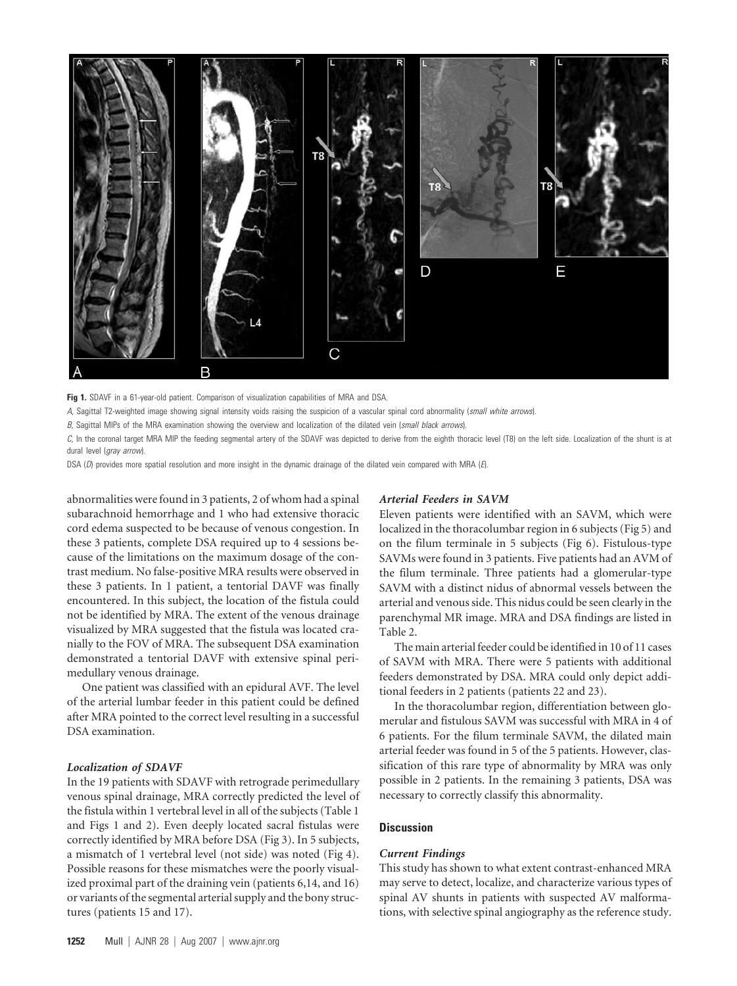

Fig 1. SDAVF in a 61-year-old patient. Comparison of visualization capabilities of MRA and DSA.

*A*, Sagittal T2-weighted image showing signal intensity voids raising the suspicion of a vascular spinal cord abnormality (*small white arrows*).

*B*, Sagittal MIPs of the MRA examination showing the overview and localization of the dilated vein (*small black arrows*).

*C*, In the coronal target MRA MIP the feeding segmental artery of the SDAVF was depicted to derive from the eighth thoracic level (T8) on the left side. Localization of the shunt is at dural level (*gray arrow*).

DSA (*D*) provides more spatial resolution and more insight in the dynamic drainage of the dilated vein compared with MRA (*E*).

abnormalities were found in 3 patients, 2 of whom had a spinal subarachnoid hemorrhage and 1 who had extensive thoracic cord edema suspected to be because of venous congestion. In these 3 patients, complete DSA required up to 4 sessions because of the limitations on the maximum dosage of the contrast medium. No false-positive MRA results were observed in these 3 patients. In 1 patient, a tentorial DAVF was finally encountered. In this subject, the location of the fistula could not be identified by MRA. The extent of the venous drainage visualized by MRA suggested that the fistula was located cranially to the FOV of MRA. The subsequent DSA examination demonstrated a tentorial DAVF with extensive spinal perimedullary venous drainage.

One patient was classified with an epidural AVF. The level of the arterial lumbar feeder in this patient could be defined after MRA pointed to the correct level resulting in a successful DSA examination.

#### *Localization of SDAVF*

In the 19 patients with SDAVF with retrograde perimedullary venous spinal drainage, MRA correctly predicted the level of the fistula within 1 vertebral level in all of the subjects (Table 1 and Figs 1 and 2). Even deeply located sacral fistulas were correctly identified by MRA before DSA (Fig 3). In 5 subjects, a mismatch of 1 vertebral level (not side) was noted (Fig 4). Possible reasons for these mismatches were the poorly visualized proximal part of the draining vein (patients 6,14, and 16) or variants of the segmental arterial supply and the bony structures (patients 15 and 17).

## *Arterial Feeders in SAVM*

Eleven patients were identified with an SAVM, which were localized in the thoracolumbar region in 6 subjects (Fig 5) and on the filum terminale in 5 subjects (Fig 6). Fistulous-type SAVMs were found in 3 patients. Five patients had an AVM of the filum terminale. Three patients had a glomerular-type SAVM with a distinct nidus of abnormal vessels between the arterial and venous side. This nidus could be seen clearly in the parenchymal MR image. MRA and DSA findings are listed in Table 2.

The main arterial feeder could be identified in 10 of 11 cases of SAVM with MRA. There were 5 patients with additional feeders demonstrated by DSA. MRA could only depict additional feeders in 2 patients (patients 22 and 23).

In the thoracolumbar region, differentiation between glomerular and fistulous SAVM was successful with MRA in 4 of 6 patients. For the filum terminale SAVM, the dilated main arterial feeder was found in 5 of the 5 patients. However, classification of this rare type of abnormality by MRA was only possible in 2 patients. In the remaining 3 patients, DSA was necessary to correctly classify this abnormality.

## **Discussion**

#### *Current Findings*

This study has shown to what extent contrast-enhanced MRA may serve to detect, localize, and characterize various types of spinal AV shunts in patients with suspected AV malformations, with selective spinal angiography as the reference study.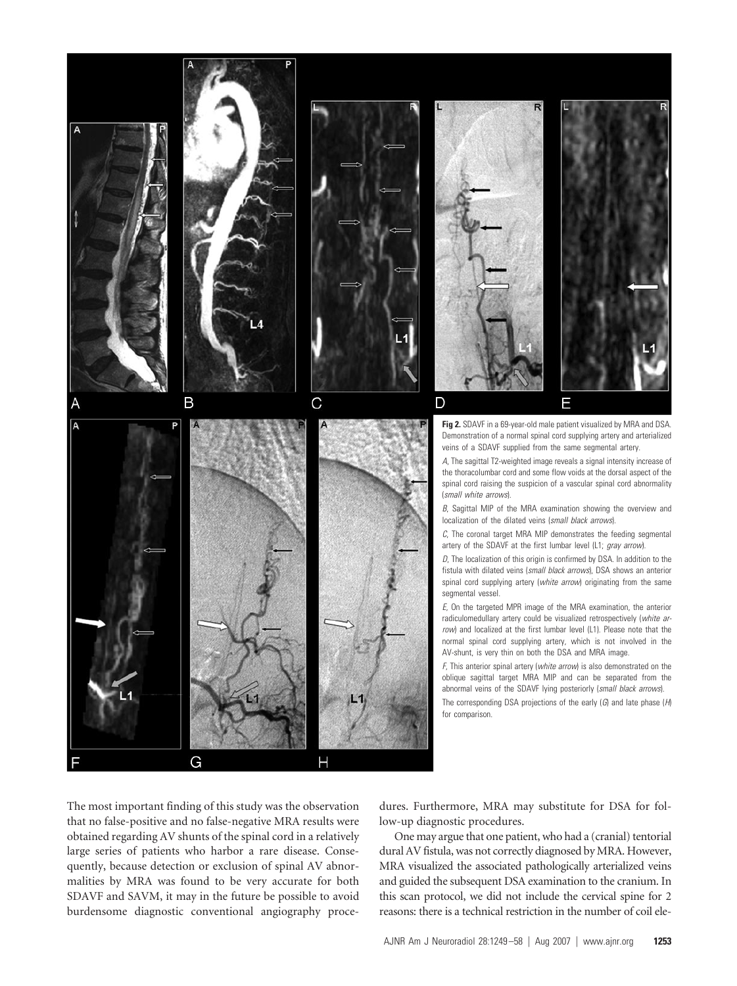

The most important finding of this study was the observation that no false-positive and no false-negative MRA results were obtained regarding AV shunts of the spinal cord in a relatively large series of patients who harbor a rare disease. Consequently, because detection or exclusion of spinal AV abnormalities by MRA was found to be very accurate for both SDAVF and SAVM, it may in the future be possible to avoid burdensome diagnostic conventional angiography procedures. Furthermore, MRA may substitute for DSA for follow-up diagnostic procedures.

One may argue that one patient, who had a (cranial) tentorial dural AV fistula, was not correctly diagnosed by MRA. However, MRA visualized the associated pathologically arterialized veins and guided the subsequent DSA examination to the cranium. In this scan protocol, we did not include the cervical spine for 2 reasons: there is a technical restriction in the number of coil ele-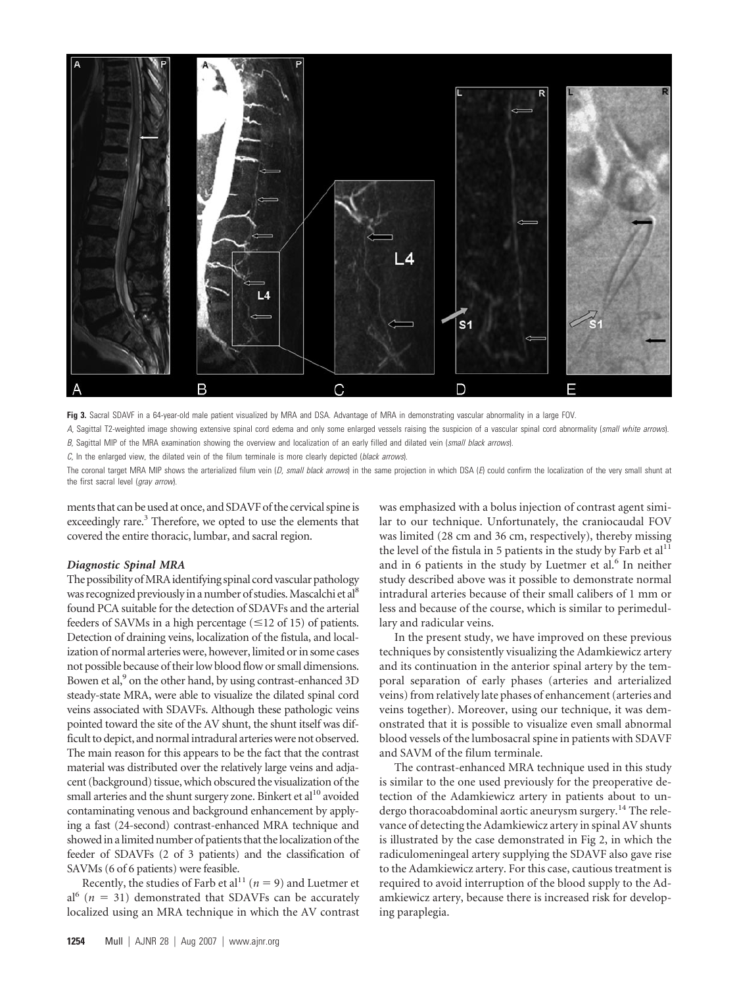

Fig 3. Sacral SDAVF in a 64-year-old male patient visualized by MRA and DSA. Advantage of MRA in demonstrating vascular abnormality in a large FOV.

*A*, Sagittal T2-weighted image showing extensive spinal cord edema and only some enlarged vessels raising the suspicion of a vascular spinal cord abnormality (*small white arrows*). *B*, Sagittal MIP of the MRA examination showing the overview and localization of an early filled and dilated vein (*small black arrows*).

*C*, In the enlarged view, the dilated vein of the filum terminale is more clearly depicted (*black arrows*).

The coronal target MRA MIP shows the arterialized filum vein (*D, small black arrows*) in the same projection in which DSA (*E*) could confirm the localization of the very small shunt at the first sacral level (*gray arrow*).

ments that can be used at once, and SDAVF of the cervical spineis exceedingly rare.<sup>3</sup> Therefore, we opted to use the elements that covered the entire thoracic, lumbar, and sacral region.

#### *Diagnostic Spinal MRA*

The possibility of MRA identifying spinal cord vascular pathology was recognized previously in a number of studies. Mascalchi et al<sup>8</sup> found PCA suitable for the detection of SDAVFs and the arterial feeders of SAVMs in a high percentage  $(\leq 12$  of 15) of patients. Detection of draining veins, localization of the fistula, and localization of normal arteries were, however, limited or in some cases not possible because of their low blood flow or small dimensions. Bowen et al,<sup>9</sup> on the other hand, by using contrast-enhanced 3D steady-state MRA, were able to visualize the dilated spinal cord veins associated with SDAVFs. Although these pathologic veins pointed toward the site of the AV shunt, the shunt itself was difficult to depict, and normal intradural arteries were not observed. The main reason for this appears to be the fact that the contrast material was distributed over the relatively large veins and adjacent (background) tissue, which obscured the visualization of the small arteries and the shunt surgery zone. Binkert et al<sup>10</sup> avoided contaminating venous and background enhancement by applying a fast (24-second) contrast-enhanced MRA technique and showedin a limited number of patients that the localization of the feeder of SDAVFs (2 of 3 patients) and the classification of SAVMs (6 of 6 patients) were feasible.

Recently, the studies of Farb et al<sup>11</sup> ( $n = 9$ ) and Luetmer et al<sup>6</sup> ( $n = 31$ ) demonstrated that SDAVFs can be accurately localized using an MRA technique in which the AV contrast was emphasized with a bolus injection of contrast agent similar to our technique. Unfortunately, the craniocaudal FOV was limited (28 cm and 36 cm, respectively), thereby missing the level of the fistula in 5 patients in the study by Farb et  $al<sup>11</sup>$ and in 6 patients in the study by Luetmer et al.<sup>6</sup> In neither study described above was it possible to demonstrate normal intradural arteries because of their small calibers of 1 mm or less and because of the course, which is similar to perimedullary and radicular veins.

In the present study, we have improved on these previous techniques by consistently visualizing the Adamkiewicz artery and its continuation in the anterior spinal artery by the temporal separation of early phases (arteries and arterialized veins) from relatively late phases of enhancement (arteries and veins together). Moreover, using our technique, it was demonstrated that it is possible to visualize even small abnormal blood vessels of the lumbosacral spine in patients with SDAVF and SAVM of the filum terminale.

The contrast-enhanced MRA technique used in this study is similar to the one used previously for the preoperative detection of the Adamkiewicz artery in patients about to undergo thoracoabdominal aortic aneurysm surgery.<sup>14</sup> The relevance of detecting the Adamkiewicz artery in spinal AV shunts is illustrated by the case demonstrated in Fig 2, in which the radiculomeningeal artery supplying the SDAVF also gave rise to the Adamkiewicz artery. For this case, cautious treatment is required to avoid interruption of the blood supply to the Adamkiewicz artery, because there is increased risk for developing paraplegia.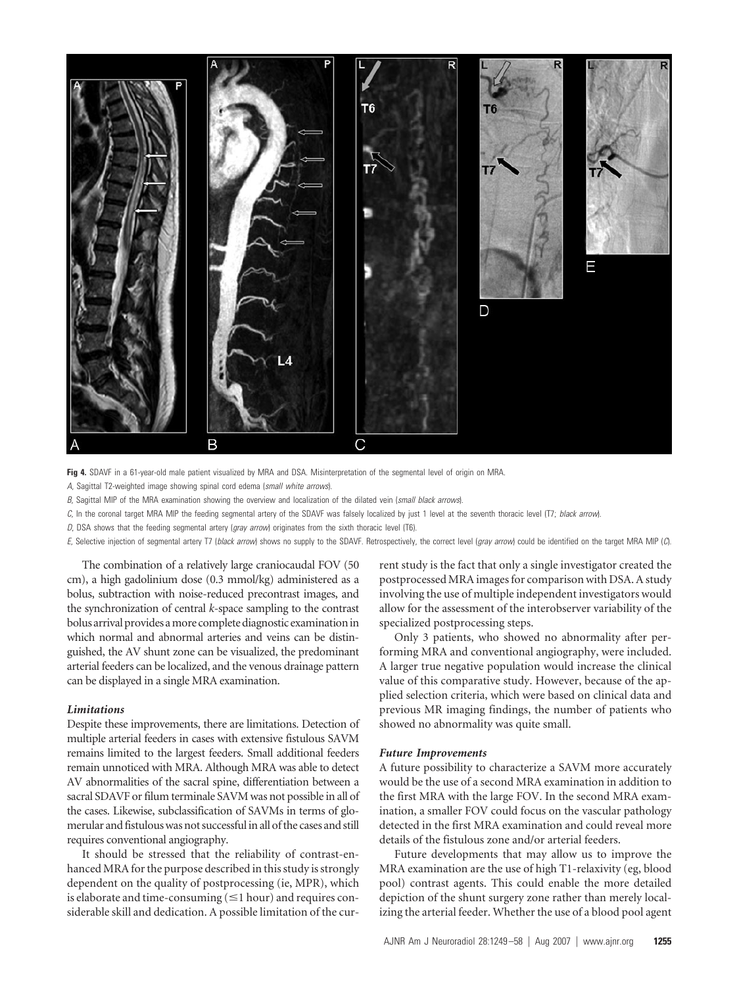

**Fig 4.** SDAVF in a 61-year-old male patient visualized by MRA and DSA. Misinterpretation of the segmental level of origin on MRA.

*A*, Sagittal T2-weighted image showing spinal cord edema (*small white arrows*).

*B*, Sagittal MIP of the MRA examination showing the overview and localization of the dilated vein (*small black arrows*).

*C*, In the coronal target MRA MIP the feeding segmental artery of the SDAVF was falsely localized by just 1 level at the seventh thoracic level (T7; *black arrow*).

*D*, DSA shows that the feeding segmental artery (*gray arrow*) originates from the sixth thoracic level (T6).

*E*, Selective injection of segmental artery T7 (*black arrow*) shows no supply to the SDAVF. Retrospectively, the correct level (*gray arrow*) could be identified on the target MRA MIP (*C*).

The combination of a relatively large craniocaudal FOV (50 cm), a high gadolinium dose (0.3 mmol/kg) administered as a bolus, subtraction with noise-reduced precontrast images, and the synchronization of central *k*-space sampling to the contrast bolus arrival provides amore complete diagnostic examinationin which normal and abnormal arteries and veins can be distinguished, the AV shunt zone can be visualized, the predominant arterial feeders can be localized, and the venous drainage pattern can be displayed in a single MRA examination.

#### *Limitations*

Despite these improvements, there are limitations. Detection of multiple arterial feeders in cases with extensive fistulous SAVM remains limited to the largest feeders. Small additional feeders remain unnoticed with MRA. Although MRA was able to detect AV abnormalities of the sacral spine, differentiation between a sacral SDAVF or filum terminale SAVM was not possible in all of the cases. Likewise, subclassification of SAVMs in terms of glomerular and fistulous was not successful in all of the cases and still requires conventional angiography.

It should be stressed that the reliability of contrast-enhanced MRA for the purpose described in this study is strongly dependent on the quality of postprocessing (ie, MPR), which is elaborate and time-consuming  $(\leq 1$  hour) and requires considerable skill and dedication. A possible limitation of the current study is the fact that only a single investigator created the postprocessed MRA images for comparison with DSA. A study involving the use of multiple independent investigators would allow for the assessment of the interobserver variability of the specialized postprocessing steps.

Only 3 patients, who showed no abnormality after performing MRA and conventional angiography, were included. A larger true negative population would increase the clinical value of this comparative study. However, because of the applied selection criteria, which were based on clinical data and previous MR imaging findings, the number of patients who showed no abnormality was quite small.

## *Future Improvements*

A future possibility to characterize a SAVM more accurately would be the use of a second MRA examination in addition to the first MRA with the large FOV. In the second MRA examination, a smaller FOV could focus on the vascular pathology detected in the first MRA examination and could reveal more details of the fistulous zone and/or arterial feeders.

Future developments that may allow us to improve the MRA examination are the use of high T1-relaxivity (eg, blood pool) contrast agents. This could enable the more detailed depiction of the shunt surgery zone rather than merely localizing the arterial feeder. Whether the use of a blood pool agent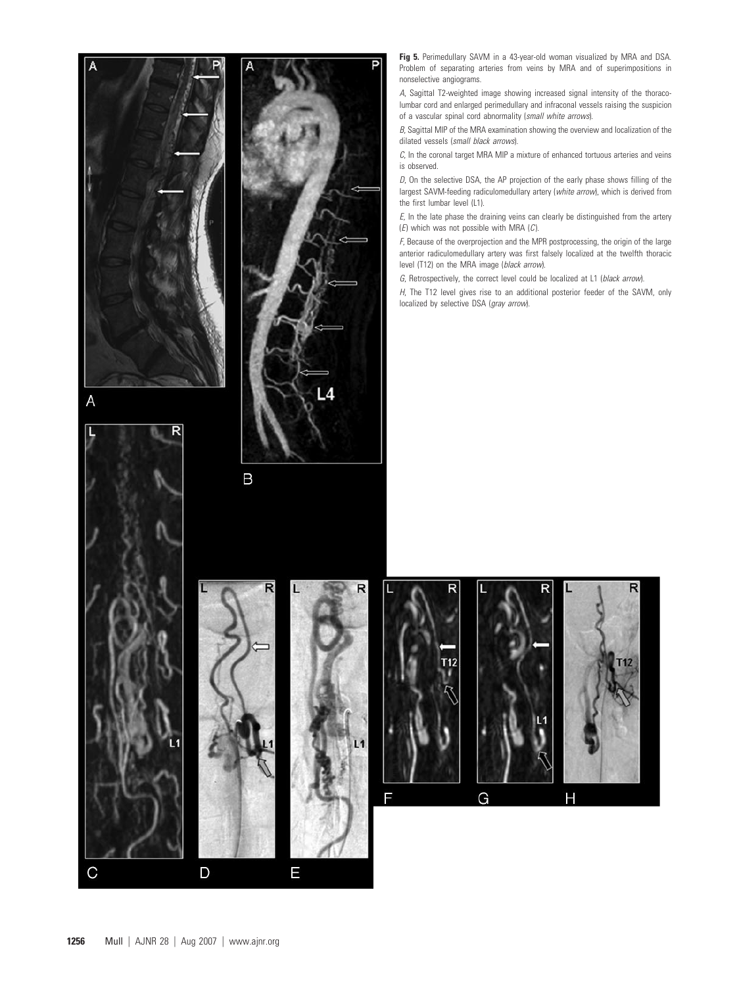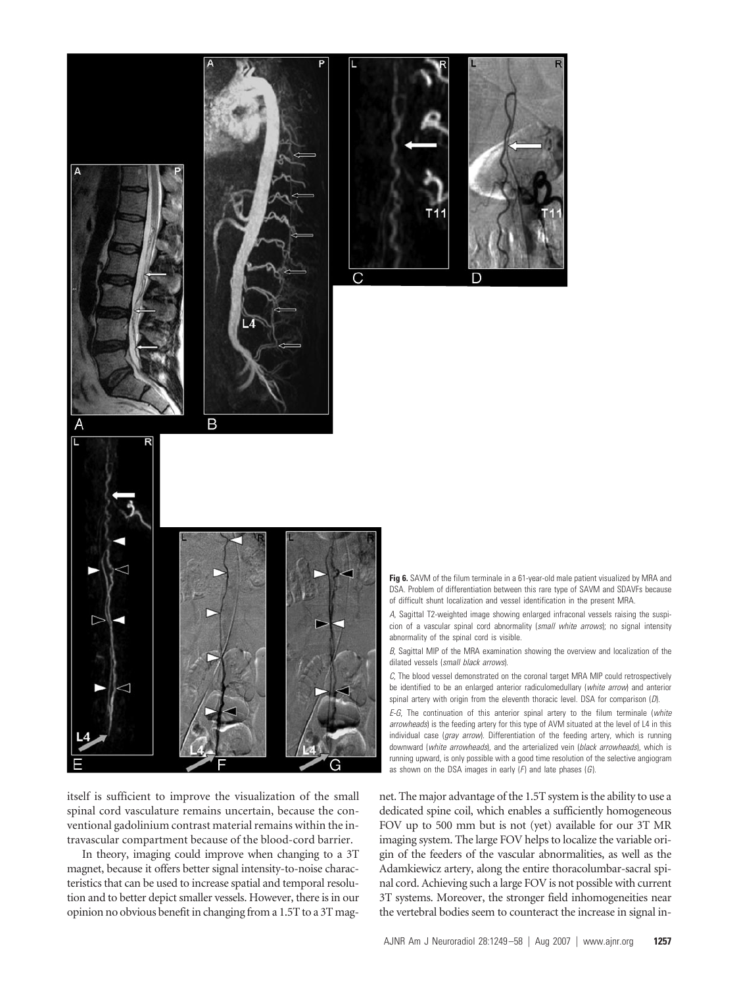

itself is sufficient to improve the visualization of the small spinal cord vasculature remains uncertain, because the conventional gadolinium contrast material remains within the intravascular compartment because of the blood-cord barrier.

In theory, imaging could improve when changing to a 3T magnet, because it offers better signal intensity-to-noise characteristics that can be used to increase spatial and temporal resolution and to better depict smaller vessels. However, there is in our opinion no obvious benefit in changing from a 1.5T to a 3T mag**Fig 6.** SAVM of the filum terminale in a 61-year-old male patient visualized by MRA and DSA. Problem of differentiation between this rare type of SAVM and SDAVFs because of difficult shunt localization and vessel identification in the present MRA.

*A*, Sagittal T2-weighted image showing enlarged infraconal vessels raising the suspicion of a vascular spinal cord abnormality (*small white arrows*); no signal intensity

*B*, Sagittal MIP of the MRA examination showing the overview and localization of the

*C*, The blood vessel demonstrated on the coronal target MRA MIP could retrospectively be identified to be an enlarged anterior radiculomedullary (*white arrow*) and anterior spinal artery with origin from the eleventh thoracic level. DSA for comparison (*D*).

*E-G*, The continuation of this anterior spinal artery to the filum terminale (*white arrowheads*) is the feeding artery for this type of AVM situated at the level of L4 in this individual case (*gray arrow*). Differentiation of the feeding artery, which is running downward (*white arrowheads*), and the arterialized vein (*black arrowheads*), which is running upward, is only possible with a good time resolution of the selective angiogram as shown on the DSA images in early (*F*) and late phases (*G*).

net. The major advantage of the 1.5T system is the ability to use a dedicated spine coil, which enables a sufficiently homogeneous FOV up to 500 mm but is not (yet) available for our 3T MR imaging system. The large FOV helps to localize the variable origin of the feeders of the vascular abnormalities, as well as the Adamkiewicz artery, along the entire thoracolumbar-sacral spinal cord. Achieving such a large FOV is not possible with current 3T systems. Moreover, the stronger field inhomogeneities near the vertebral bodies seem to counteract the increase in signal in